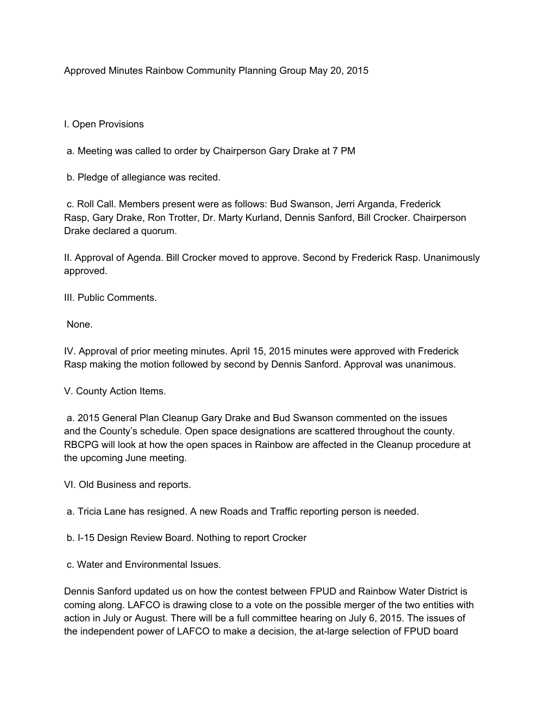Approved Minutes Rainbow Community Planning Group May 20, 2015

## I. Open Provisions

a. Meeting was called to order by Chairperson Gary Drake at 7 PM

b. Pledge of allegiance was recited.

c. Roll Call. Members present were as follows: Bud Swanson, Jerri Arganda, Frederick Rasp, Gary Drake, Ron Trotter, Dr. Marty Kurland, Dennis Sanford, Bill Crocker. Chairperson Drake declared a quorum.

II. Approval of Agenda. Bill Crocker moved to approve. Second by Frederick Rasp. Unanimously approved.

III. Public Comments.

None.

IV. Approval of prior meeting minutes. April 15, 2015 minutes were approved with Frederick Rasp making the motion followed by second by Dennis Sanford. Approval was unanimous.

V. County Action Items.

a. 2015 General Plan Cleanup Gary Drake and Bud Swanson commented on the issues and the County's schedule. Open space designations are scattered throughout the county. RBCPG will look at how the open spaces in Rainbow are affected in the Cleanup procedure at the upcoming June meeting.

VI. Old Business and reports.

a. Tricia Lane has resigned. A new Roads and Traffic reporting person is needed.

b. I-15 Design Review Board. Nothing to report Crocker

c. Water and Environmental Issues.

Dennis Sanford updated us on how the contest between FPUD and Rainbow Water District is coming along. LAFCO is drawing close to a vote on the possible merger of the two entities with action in July or August. There will be a full committee hearing on July 6, 2015. The issues of the independent power of LAFCO to make a decision, the at-large selection of FPUD board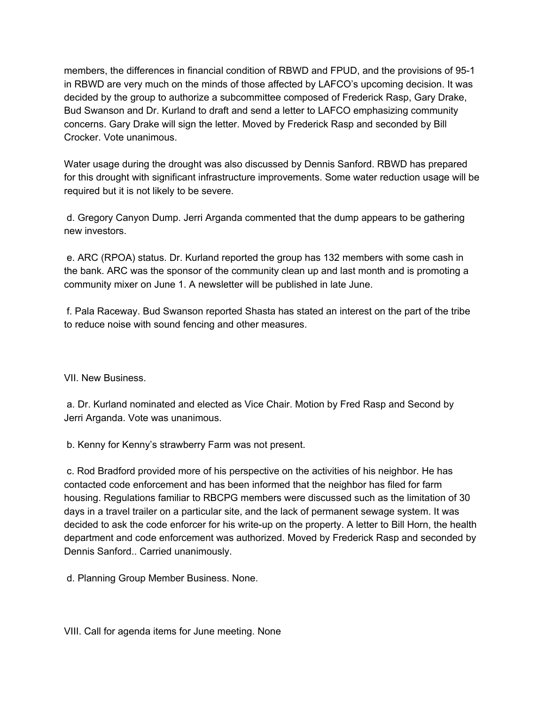members, the differences in financial condition of RBWD and FPUD, and the provisions of 95-1 in RBWD are very much on the minds of those affected by LAFCO's upcoming decision. It was decided by the group to authorize a subcommittee composed of Frederick Rasp, Gary Drake, Bud Swanson and Dr. Kurland to draft and send a letter to LAFCO emphasizing community concerns. Gary Drake will sign the letter. Moved by Frederick Rasp and seconded by Bill Crocker. Vote unanimous.

Water usage during the drought was also discussed by Dennis Sanford. RBWD has prepared for this drought with significant infrastructure improvements. Some water reduction usage will be required but it is not likely to be severe.

d. Gregory Canyon Dump. Jerri Arganda commented that the dump appears to be gathering new investors.

e. ARC (RPOA) status. Dr. Kurland reported the group has 132 members with some cash in the bank. ARC was the sponsor of the community clean up and last month and is promoting a community mixer on June 1. A newsletter will be published in late June.

f. Pala Raceway. Bud Swanson reported Shasta has stated an interest on the part of the tribe to reduce noise with sound fencing and other measures.

VII. New Business.

a. Dr. Kurland nominated and elected as Vice Chair. Motion by Fred Rasp and Second by Jerri Arganda. Vote was unanimous.

b. Kenny for Kenny's strawberry Farm was not present.

c. Rod Bradford provided more of his perspective on the activities of his neighbor. He has contacted code enforcement and has been informed that the neighbor has filed for farm housing. Regulations familiar to RBCPG members were discussed such as the limitation of 30 days in a travel trailer on a particular site, and the lack of permanent sewage system. It was decided to ask the code enforcer for his write-up on the property. A letter to Bill Horn, the health department and code enforcement was authorized. Moved by Frederick Rasp and seconded by Dennis Sanford.. Carried unanimously.

d. Planning Group Member Business. None.

VIII. Call for agenda items for June meeting. None